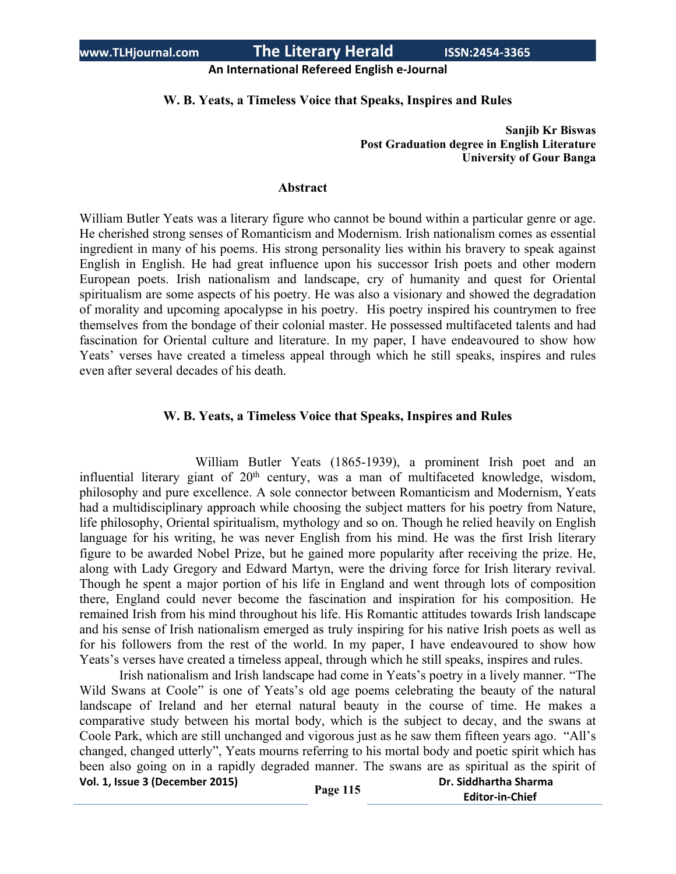## **An International Refereed English e-Journal**

## **W. B. Yeats, a Timeless Voice that Speaks, Inspires and Rules**

**Sanjib Kr Biswas Post Graduation degree in English Literature University of Gour Banga**

## **Abstract**

William Butler Yeats was a literary figure who cannot be bound within a particular genre or age. He cherished strong senses of Romanticism and Modernism. Irish nationalism comes as essential ingredient in many of his poems. His strong personality lies within his bravery to speak against English in English. He had great influence upon his successor Irish poets and other modern European poets. Irish nationalism and landscape, cry of humanity and quest for Oriental spiritualism are some aspects of his poetry. He was also a visionary and showed the degradation of morality and upcoming apocalypse in his poetry. His poetry inspired his countrymen to free themselves from the bondage of their colonial master. He possessed multifaceted talents and had fascination for Oriental culture and literature. In my paper, I have endeavoured to show how Yeats' verses have created a timeless appeal through which he still speaks, inspires and rules even after several decades of his death.

## **W. B. Yeats, a Timeless Voice that Speaks, Inspires and Rules**

William Butler Yeats (1865-1939), a prominent Irish poet and an influential literary giant of  $20<sup>th</sup>$  century, was a man of multifaceted knowledge, wisdom, philosophy and pure excellence. A sole connector between Romanticism and Modernism, Yeats had a multidisciplinary approach while choosing the subject matters for his poetry from Nature, life philosophy, Oriental spiritualism, mythology and so on. Though he relied heavily on English language for his writing, he was never English from his mind. He was the first Irish literary figure to be awarded Nobel Prize, but he gained more popularity after receiving the prize. He, along with Lady Gregory and Edward Martyn, were the driving force for Irish literary revival. Though he spent a major portion of his life in England and went through lots of composition there, England could never become the fascination and inspiration for his composition. He remained Irish from his mind throughout his life. His Romantic attitudes towards Irish landscape and his sense of Irish nationalism emerged as truly inspiring for his native Irish poets as well as for his followers from the rest of the world. In my paper, I have endeavoured to show how Yeats's verses have created a timeless appeal, through which he still speaks, inspires and rules.

**Vol. 1, Issue <sup>3</sup> (December 2015) Page <sup>115</sup> Dr. Siddhartha Sharma** Irish nationalism and Irish landscape had come in Yeats's poetry in a lively manner. "The Wild Swans at Coole" is one of Yeats's old age poems celebrating the beauty of the natural landscape of Ireland and her eternal natural beauty in the course of time. He makes a comparative study between his mortal body, which is the subject to decay, and the swans at Coole Park, which are still unchanged and vigorous just as he saw them fifteen years ago. "All's changed, changed utterly", Yeats mourns referring to his mortal body and poetic spirit which has been also going on in a rapidly degraded manner. The swans are as spiritual as the spirit of

|          | <b>PR. 91991191 GRS 911911</b> |
|----------|--------------------------------|
| 'age 115 | <b>Editor-in-Chief</b>         |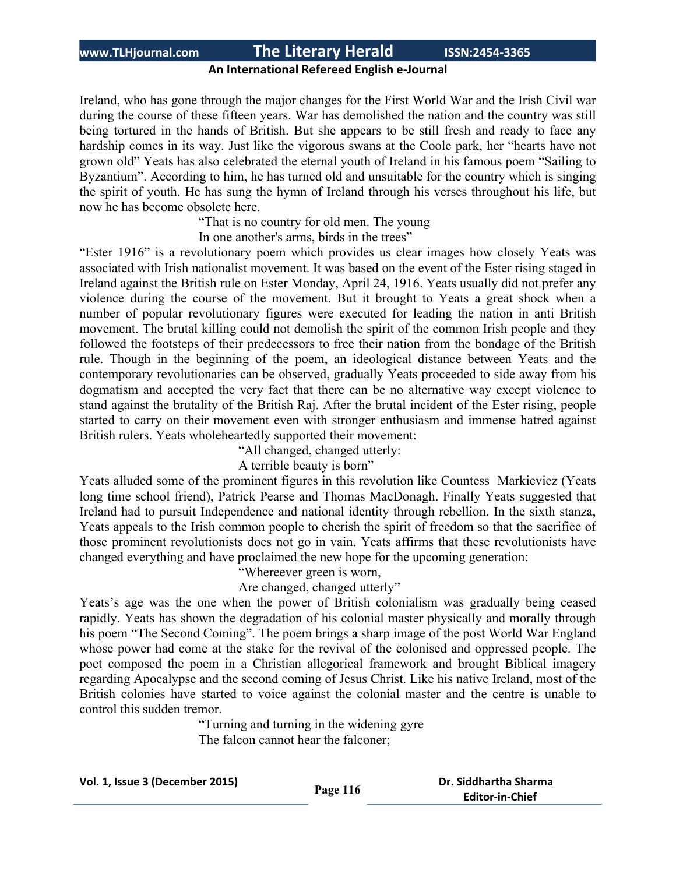## **An International Refereed English e-Journal**

Ireland, who has gone through the major changes for the First World War and the Irish Civil war during the course of these fifteen years. War has demolished the nation and the country was still being tortured in the hands of British. But she appears to be still fresh and ready to face any hardship comes in its way. Just like the vigorous swans at the Coole park, her "hearts have not grown old" Yeats has also celebrated the eternal youth of Ireland in his famous poem "Sailing to Byzantium". According to him, he has turned old and unsuitable for the country which is singing the spirit of youth. He has sung the hymn of Ireland through his verses throughout his life, but now he has become obsolete here.

"That is no country for old men. The young

In one another's arms, birds in the trees"

"Ester 1916" is a revolutionary poem which provides us clear images how closely Yeats was associated with Irish nationalist movement. It was based on the event of the Ester rising staged in Ireland against the British rule on Ester Monday, April 24, 1916. Yeats usually did not prefer any violence during the course of the movement. But it brought to Yeats a great shock when a number of popular revolutionary figures were executed for leading the nation in anti British movement. The brutal killing could not demolish the spirit of the common Irish people and they followed the footsteps of their predecessors to free their nation from the bondage of the British rule. Though in the beginning of the poem, an ideological distance between Yeats and the contemporary revolutionaries can be observed, gradually Yeats proceeded to side away from his dogmatism and accepted the very fact that there can be no alternative way except violence to stand against the brutality of the British Raj. After the brutal incident of the Ester rising, people started to carry on their movement even with stronger enthusiasm and immense hatred against British rulers. Yeats wholeheartedly supported their movement:

"All changed, changed utterly:

A terrible beauty is born"

Yeats alluded some of the prominent figures in this revolution like Countess Markieviez (Yeats long time school friend), Patrick Pearse and Thomas MacDonagh. Finally Yeats suggested that Ireland had to pursuit Independence and national identity through rebellion. In the sixth stanza, Yeats appeals to the Irish common people to cherish the spirit of freedom so that the sacrifice of those prominent revolutionists does not go in vain. Yeats affirms that these revolutionists have changed everything and have proclaimed the new hope for the upcoming generation:

"Whereever green is worn,

Are changed, changed utterly"

Yeats's age was the one when the power of British colonialism was gradually being ceased rapidly. Yeats has shown the degradation of his colonial master physically and morally through his poem "The Second Coming". The poem brings a sharp image of the post World War England whose power had come at the stake for the revival of the colonised and oppressed people. The poet composed the poem in a Christian allegorical framework and brought Biblical imagery regarding Apocalypse and the second coming of Jesus Christ. Like his native Ireland, most of the British colonies have started to voice against the colonial master and the centre is unable to control this sudden tremor.

> "Turning and turning in the widening gyre The falcon cannot hear the falconer;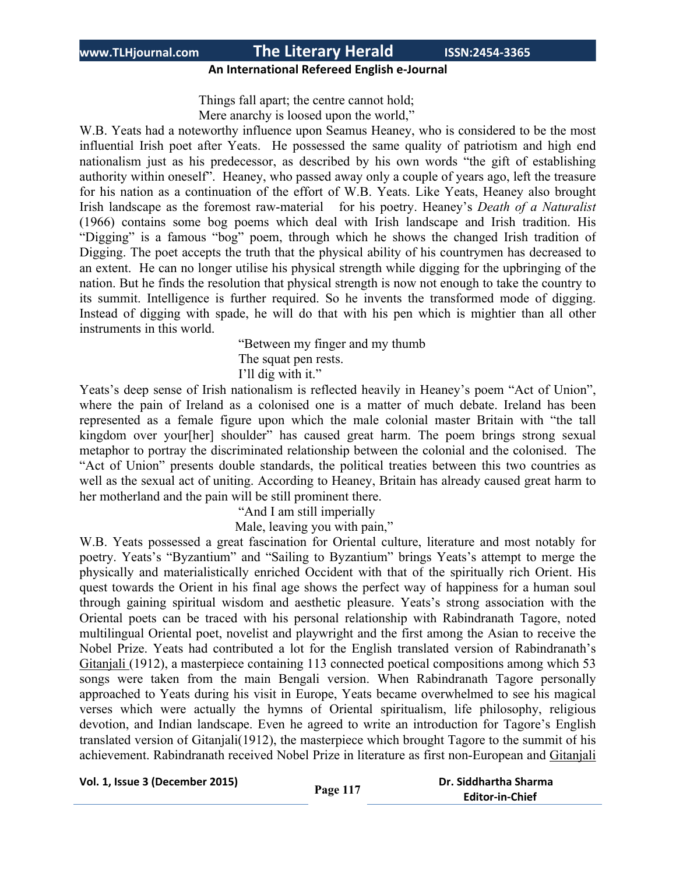# **An International Refereed English e-Journal**

Things fall apart; the centre cannot hold; Mere anarchy is loosed upon the world,"

W.B. Yeats had a noteworthy influence upon Seamus Heaney, who is considered to be the most influential Irish poet after Yeats. He possessed the same quality of patriotism and high end nationalism just as his predecessor, as described by his own words "the gift of establishing authority within oneself". Heaney, who passed away only a couple of years ago, left the treasure for his nation as a continuation of the effort of W.B. Yeats. Like Yeats, Heaney also brought Irish landscape as the foremost raw-material for his poetry. Heaney's *Death of a Naturalist* (1966) contains some bog poems which deal with Irish landscape and Irish tradition. His "Digging" is a famous "bog" poem, through which he shows the changed Irish tradition of Digging. The poet accepts the truth that the physical ability of his countrymen has decreased to an extent. He can no longer utilise his physical strength while digging for the upbringing of the nation. But he finds the resolution that physical strength is now not enough to take the country to its summit. Intelligence is further required. So he invents the transformed mode of digging. Instead of digging with spade, he will do that with his pen which is mightier than all other instruments in this world.

> "Between my finger and my thumb The squat pen rests. I'll dig with it."

Yeats's deep sense of Irish nationalism is reflected heavily in Heaney's poem "Act of Union", where the pain of Ireland as a colonised one is a matter of much debate. Ireland has been represented as a female figure upon which the male colonial master Britain with "the tall kingdom over your[her] shoulder" has caused great harm. The poem brings strong sexual metaphor to portray the discriminated relationship between the colonial and the colonised. The "Act of Union" presents double standards, the political treaties between this two countries as well as the sexual act of uniting. According to Heaney, Britain has already caused great harm to her motherland and the pain will be still prominent there.

"And I am still imperially

Male, leaving you with pain,"

W.B. Yeats possessed a great fascination for Oriental culture, literature and most notably for poetry. Yeats's "Byzantium" and "Sailing to Byzantium" brings Yeats's attempt to merge the physically and materialistically enriched Occident with that of the spiritually rich Orient. His quest towards the Orient in his final age shows the perfect way of happiness for a human soul through gaining spiritual wisdom and aesthetic pleasure. Yeats's strong association with the Oriental poets can be traced with his personal relationship with Rabindranath Tagore, noted multilingual Oriental poet, novelist and playwright and the first among the Asian to receive the Nobel Prize. Yeats had contributed a lot for the English translated version of Rabindranath's Gitanjali (1912), a masterpiece containing 113 connected poetical compositions among which 53 songs were taken from the main Bengali version. When Rabindranath Tagore personally approached to Yeats during his visit in Europe, Yeats became overwhelmed to see his magical verses which were actually the hymns of Oriental spiritualism, life philosophy, religious devotion, and Indian landscape. Even he agreed to write an introduction for Tagore's English translated version of Gitanjali(1912), the masterpiece which brought Tagore to the summit of his achievement. Rabindranath received Nobel Prize in literature as first non-European and Gitanjali

```
Vol. 1, Issue 3 (December 2015) Page 117 Dr. Siddhartha Sharma
```

```
 Editor-in-Chief
```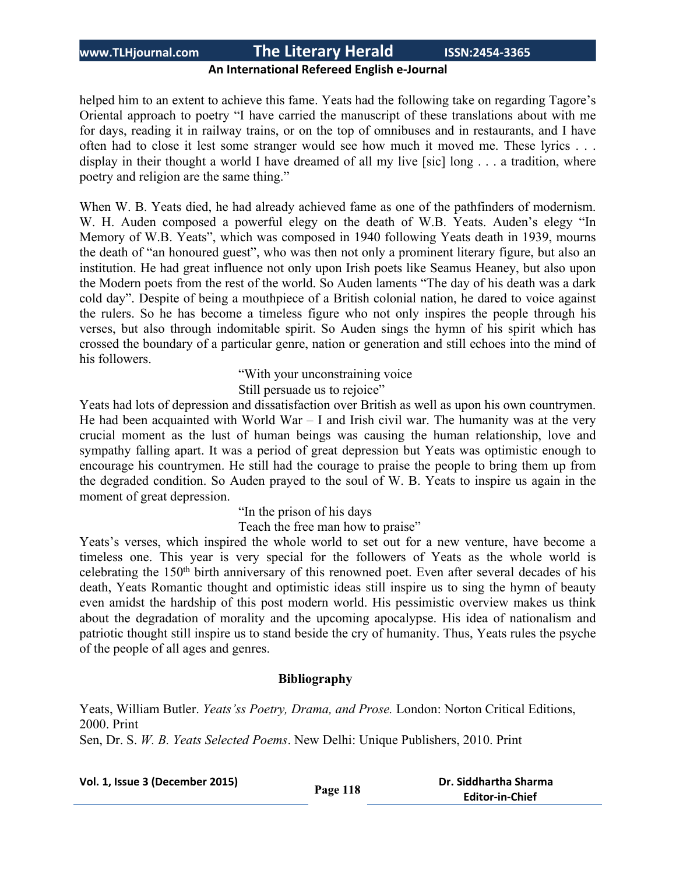## **An International Refereed English e-Journal**

helped him to an extent to achieve this fame. Yeats had the following take on regarding Tagore's Oriental approach to poetry "I have carried the manuscript of these translations about with me for days, reading it in railway trains, or on the top of omnibuses and in restaurants, and I have often had to close it lest some stranger would see how much it moved me. These lyrics . . . display in their thought a world I have dreamed of all my live [sic] long . . . a tradition, where poetry and religion are the same thing."

When W. B. Yeats died, he had already achieved fame as one of the pathfinders of modernism. W. H. Auden composed a powerful elegy on the death of W.B. Yeats. Auden's elegy "In Memory of W.B. Yeats", which was composed in 1940 following Yeats death in 1939, mourns the death of "an honoured guest", who was then not only a prominent literary figure, but also an institution. He had great influence not only upon Irish poets like Seamus Heaney, but also upon the Modern poets from the rest of the world. So Auden laments "The day of his death was a dark cold day". Despite of being a mouthpiece of a British colonial nation, he dared to voice against the rulers. So he has become a timeless figure who not only inspires the people through his verses, but also through indomitable spirit. So Auden sings the hymn of his spirit which has crossed the boundary of a particular genre, nation or generation and still echoes into the mind of his followers.

"With your unconstraining voice

Still persuade us to rejoice"

Yeats had lots of depression and dissatisfaction over British as well as upon his own countrymen. He had been acquainted with World War  $-$  I and Irish civil war. The humanity was at the very crucial moment as the lust of human beings was causing the human relationship, love and sympathy falling apart. It was a period of great depression but Yeats was optimistic enough to encourage his countrymen. He still had the courage to praise the people to bring them up from the degraded condition. So Auden prayed to the soul of W. B. Yeats to inspire us again in the moment of great depression.

"In the prison of his days

Teach the free man how to praise"

Yeats's verses, which inspired the whole world to set out for a new venture, have become a timeless one. This year is very special for the followers of Yeats as the whole world is celebrating the 150th birth anniversary of this renowned poet. Even after several decades of his death, Yeats Romantic thought and optimistic ideas still inspire us to sing the hymn of beauty even amidst the hardship of this post modern world. His pessimistic overview makes us think about the degradation of morality and the upcoming apocalypse. His idea of nationalism and patriotic thought still inspire us to stand beside the cry of humanity. Thus, Yeats rules the psyche of the people of all ages and genres.

## **Bibliography**

Yeats, William Butler. *Yeats'ss Poetry, Drama, and Prose.* London: Norton Critical Editions, 2000. Print Sen, Dr. S. *W. B. Yeats Selected Poems*. New Delhi: Unique Publishers, 2010. Print

**Vol. 1, Issue <sup>3</sup> (December 2015) Page <sup>118</sup> Dr. Siddhartha Sharma Editor-in-Chief**